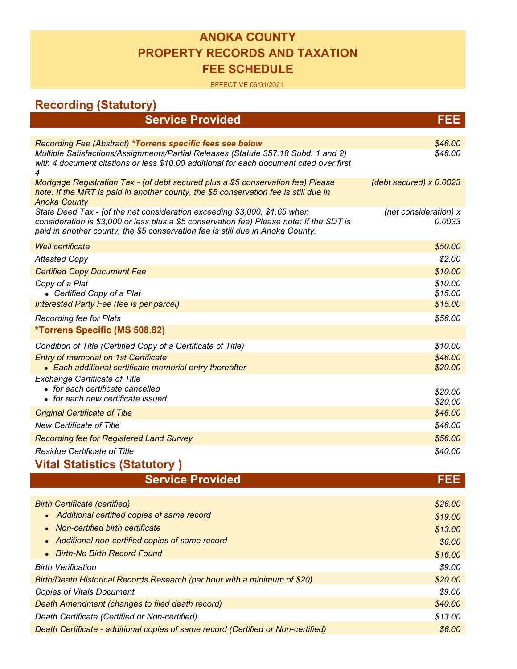## **ANOKA COUNTY PROPERTY RECORDS AND TAXATION FEE SCHEDULE**

## EFFECTIVE 06/01/2021

| <b>Recording (Statutory)</b>                                                                                                                                                                                                                            |                                 |
|---------------------------------------------------------------------------------------------------------------------------------------------------------------------------------------------------------------------------------------------------------|---------------------------------|
| <b>Service Provided</b>                                                                                                                                                                                                                                 | FEE                             |
|                                                                                                                                                                                                                                                         |                                 |
| Recording Fee (Abstract) *Torrens specific fees see below                                                                                                                                                                                               | \$46.00                         |
| Multiple Satisfactions/Assignments/Partial Releases (Statute 357.18 Subd. 1 and 2)<br>with 4 document citations or less \$10.00 additional for each document cited over first<br>4                                                                      | \$46.00                         |
| Mortgage Registration Tax - (of debt secured plus a \$5 conservation fee) Please<br>note: If the MRT is paid in another county, the \$5 conservation fee is still due in<br><b>Anoka County</b>                                                         | (debt secured) $x$ 0.0023       |
| State Deed Tax - (of the net consideration exceeding \$3,000, \$1.65 when<br>consideration is \$3,000 or less plus a \$5 conservation fee) Please note: If the SDT is<br>paid in another county, the \$5 conservation fee is still due in Anoka County. | (net consideration) x<br>0.0033 |
| <b>Well certificate</b>                                                                                                                                                                                                                                 | \$50.00                         |
| <b>Attested Copy</b>                                                                                                                                                                                                                                    | \$2.00                          |
| <b>Certified Copy Document Fee</b>                                                                                                                                                                                                                      | \$10.00                         |
| Copy of a Plat<br>• Certified Copy of a Plat                                                                                                                                                                                                            | \$10.00<br>\$15.00              |
| Interested Party Fee (fee is per parcel)                                                                                                                                                                                                                | \$15.00                         |
| <b>Recording fee for Plats</b>                                                                                                                                                                                                                          | \$56.00                         |
| <i><b>*Torrens Specific (MS 508.82)</b></i>                                                                                                                                                                                                             |                                 |
| Condition of Title (Certified Copy of a Certificate of Title)                                                                                                                                                                                           | \$10.00                         |
| <b>Entry of memorial on 1st Certificate</b><br>• Each additional certificate memorial entry thereafter                                                                                                                                                  | \$46.00<br>\$20.00              |
| <b>Exchange Certificate of Title</b><br>• for each certificate cancelled<br>• for each new certificate issued                                                                                                                                           | \$20.00<br>\$20.00              |
| <b>Original Certificate of Title</b>                                                                                                                                                                                                                    | \$46.00                         |
| <b>New Certificate of Title</b>                                                                                                                                                                                                                         | \$46.00                         |
| <b>Recording fee for Registered Land Survey</b>                                                                                                                                                                                                         | \$56.00                         |
| <b>Residue Certificate of Title</b>                                                                                                                                                                                                                     | \$40.00                         |
| <b>Vital Statistics (Statutory)</b>                                                                                                                                                                                                                     |                                 |
| <b>Service Provided</b>                                                                                                                                                                                                                                 | <b>FEE</b>                      |
|                                                                                                                                                                                                                                                         |                                 |
| <b>Birth Certificate (certified)</b>                                                                                                                                                                                                                    | \$26.00                         |
| Additional certified copies of same record                                                                                                                                                                                                              | \$19.00                         |
| Non-certified birth certificate                                                                                                                                                                                                                         | \$13.00                         |
| Additional non-certified copies of same record                                                                                                                                                                                                          | \$6.00                          |
| <b>Birth-No Birth Record Found</b>                                                                                                                                                                                                                      | \$16.00                         |
| <b>Birth Verification</b>                                                                                                                                                                                                                               | \$9.00                          |
| Birth/Death Historical Records Research (per hour with a minimum of \$20)                                                                                                                                                                               | \$20.00                         |
| <b>Copies of Vitals Document</b>                                                                                                                                                                                                                        | \$9.00                          |
| Death Amendment (changes to filed death record)                                                                                                                                                                                                         | \$40.00                         |
| Death Certificate (Certified or Non-certified)                                                                                                                                                                                                          | \$13.00                         |
| Death Certificate - additional copies of same record (Certified or Non-certified)                                                                                                                                                                       | \$6.00                          |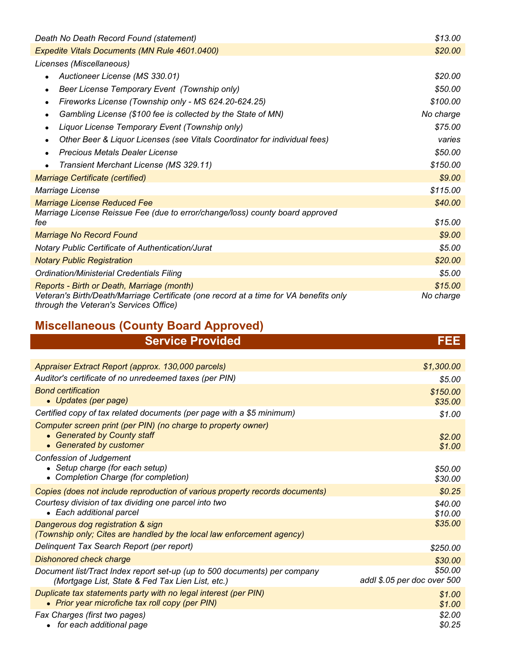| Death No Death Record Found (statement)                                                                                         | \$13.00   |
|---------------------------------------------------------------------------------------------------------------------------------|-----------|
| <b>Expedite Vitals Documents (MN Rule 4601.0400)</b>                                                                            | \$20.00   |
| Licenses (Miscellaneous)                                                                                                        |           |
| Auctioneer License (MS 330.01)                                                                                                  | \$20.00   |
| Beer License Temporary Event (Township only)<br>$\bullet$                                                                       | \$50.00   |
| Fireworks License (Township only - MS 624.20-624.25)<br>$\bullet$                                                               | \$100.00  |
| Gambling License (\$100 fee is collected by the State of MN)<br>$\bullet$                                                       | No charge |
| Liquor License Temporary Event (Township only)<br>$\bullet$                                                                     | \$75.00   |
| Other Beer & Liquor Licenses (see Vitals Coordinator for individual fees)                                                       | varies    |
| Precious Metals Dealer License<br>$\bullet$                                                                                     | \$50.00   |
| Transient Merchant License (MS 329.11)                                                                                          | \$150.00  |
| <b>Marriage Certificate (certified)</b>                                                                                         | \$9.00    |
| Marriage License                                                                                                                | \$115.00  |
| <b>Marriage License Reduced Fee</b>                                                                                             | \$40.00   |
| Marriage License Reissue Fee (due to error/change/loss) county board approved<br>fee                                            | \$15.00   |
|                                                                                                                                 | \$9.00    |
| Marriage No Record Found                                                                                                        |           |
| <b>Notary Public Certificate of Authentication/Jurat</b>                                                                        | \$5.00    |
| <b>Notary Public Registration</b>                                                                                               | \$20.00   |
| Ordination/Ministerial Credentials Filing                                                                                       | \$5.00    |
| Reports - Birth or Death, Marriage (month)                                                                                      | \$15.00   |
| Veteran's Birth/Death/Marriage Certificate (one record at a time for VA benefits only<br>through the Veteran's Services Office) | No charge |

## **Miscellaneous (County Board Approved)**

| <b>Service Provided</b>                                                                                                       | FEE                                    |
|-------------------------------------------------------------------------------------------------------------------------------|----------------------------------------|
|                                                                                                                               |                                        |
| Appraiser Extract Report (approx. 130,000 parcels)                                                                            | \$1,300.00                             |
| Auditor's certificate of no unredeemed taxes (per PIN)                                                                        | \$5.00                                 |
| <b>Bond certification</b><br>• Updates (per page)                                                                             | \$150.00<br>\$35.00                    |
| Certified copy of tax related documents (per page with a \$5 minimum)                                                         | \$1.00                                 |
| Computer screen print (per PIN) (no charge to property owner)<br>• Generated by County staff<br>• Generated by customer       | \$2.00<br>\$1.00                       |
| <b>Confession of Judgement</b><br>• Setup charge (for each setup)<br>• Completion Charge (for completion)                     | \$50.00<br>\$30.00                     |
| Copies (does not include reproduction of various property records documents)                                                  | \$0.25                                 |
| Courtesy division of tax dividing one parcel into two<br>• Each additional parcel                                             | \$40.00<br>\$10.00                     |
| Dangerous dog registration & sign<br>(Township only; Cites are handled by the local law enforcement agency)                   | \$35.00                                |
| Delinquent Tax Search Report (per report)                                                                                     | \$250.00                               |
| <b>Dishonored check charge</b>                                                                                                | \$30.00                                |
| Document list/Tract Index report set-up (up to 500 documents) per company<br>(Mortgage List, State & Fed Tax Lien List, etc.) | \$50.00<br>addl \$.05 per doc over 500 |
| Duplicate tax statements party with no legal interest (per PIN)<br>• Prior year microfiche tax roll copy (per PIN)            | \$1.00<br>\$1.00                       |
| Fax Charges (first two pages)<br>for each additional page                                                                     | \$2.00<br>\$0.25                       |